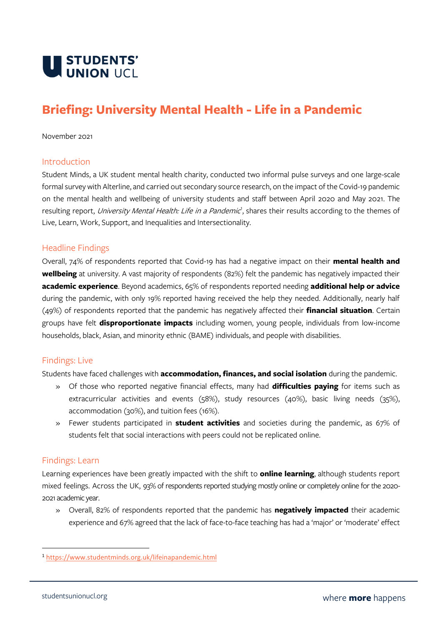

# **Briefing: University Mental Health - Life in a Pandemic**

#### November 2021

#### Introduction

Student Minds, a UK student mental health charity, conducted two informal pulse surveys and one large-scale formal survey with Alterline, and carried out secondary source research, on the impact of the Covid-19 pandemic on the mental health and wellbeing of university students and staff between April 2020 and May 2021. The resulting report, *University Mental Health: Life in a Pandemic<sup>1</sup>*, shares their results according to the themes of Live, Learn, Work, Support, and Inequalities and Intersectionality.

#### Headline Findings

Overall, 74% of respondents reported that Covid-19 has had a negative impact on their **mental health and wellbeing** at university. A vast majority of respondents (82%) felt the pandemic has negatively impacted their **academic experience**. Beyond academics, 65% of respondents reported needing **additional help or advice** during the pandemic, with only 19% reported having received the help they needed. Additionally, nearly half (49%) of respondents reported that the pandemic has negatively affected their **financial situation**. Certain groups have felt **disproportionate impacts** including women, young people, individuals from low-income households, black, Asian, and minority ethnic (BAME) individuals, and people with disabilities.

#### Findings: Live

Students have faced challenges with **accommodation, finances, and social isolation** during the pandemic.

- » Of those who reported negative financial effects, many had **difficulties paying** for items such as extracurricular activities and events (58%), study resources (40%), basic living needs (35%), accommodation (30%), and tuition fees (16%).
- » Fewer students participated in **student activities** and societies during the pandemic, as 67% of students felt that social interactions with peers could not be replicated online.

#### Findings: Learn

Learning experiences have been greatly impacted with the shift to **online learning**, although students report mixed feelings. Across the UK, 93% of respondents reported studying mostly online or completely online for the 2020- 2021 academic year.

» Overall, 82% of respondents reported that the pandemic has **negatively impacted** their academic experience and 67% agreed that the lack of face-to-face teaching has had a 'major' or 'moderate' effect

<sup>1</sup> <https://www.studentminds.org.uk/lifeinapandemic.html>